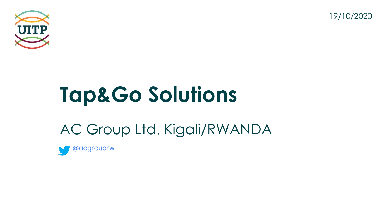



# **Tap&Go Solutions**

### AC Group Ltd. Kigali/RWANDA

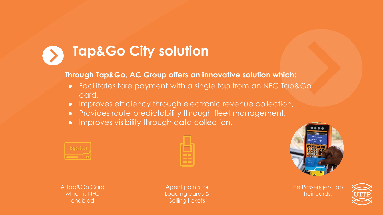### **Tap&Go City solution**

#### **Through Tap&Go, AC Group offers an innovative solution which:**

- Facilitates fare payment with a single tap from an NFC Tap&Go card,
- Improves efficiency through electronic revenue collection,
- Provides route predictability through fleet management,
- Improves visibility through data collection.



| ٠ |   | ۳ |
|---|---|---|
|   |   |   |
|   | _ |   |
|   | _ |   |
|   |   |   |



A Tap&Go Card which is NFC enabled

Agent points for Loading cards & Selling tickets

The Passengers Tap their cards.

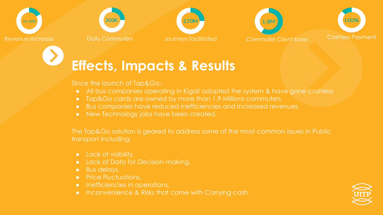









### **Effects, Impacts & Results**

Since the launch of Tap&Go,:

- All bus companies operating in Kigali adopted the system & have gone cashless
- Tap&Go cards are owned by more than 1.9 Millions commuters
- Bus companies have reduced inefficiencies and increased revenues.
- New Technology jobs have been created.

The Tap&Go solution is geared to address some of the most common issues in Public transport including:

- Lack of visibility,
- Lack of Data for Decision-making,
- Bus delays,
- Price Fluctuations,
- Inefficiencies in operations,
- Inconvenience & Risks that come with Carrying cash.

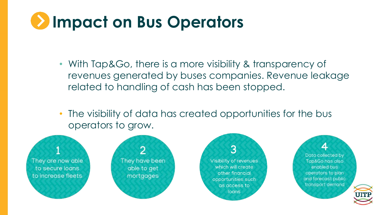## **Impact on Bus Operators**

- With Tap&Go, there is a more visibility & transparency of revenues generated by buses companies. Revenue leakage related to handling of cash has been stopped.
- The visibility of data has created opportunities for the bus operators to grow.



They have been able to get mortgages



Data collected by Tap&Go has also enabled bus operators to plan and forecast public transport demand

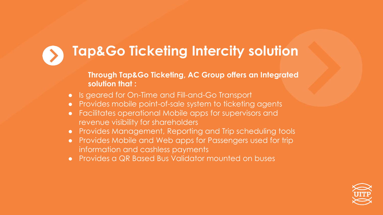

### **Tap&Go Ticketing Intercity solution**

#### **Through Tap&Go Ticketing, AC Group offers an Integrated solution that :**

- Is geared for On-Time and Fill-and-Go Transport
- Provides mobile point-of-sale system to ticketing agents
- Facilitates operational Mobile apps for supervisors and revenue visibility for shareholders
- Provides Management, Reporting and Trip scheduling tools
- Provides Mobile and Web apps for Passengers used for trip information and cashless payments
- Provides a QR Based Bus Validator mounted on buses

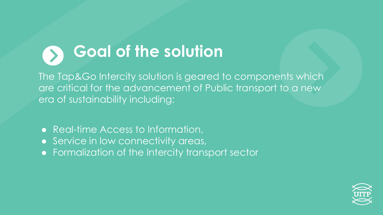### **Goal of the solution**

The Tap&Go Intercity solution is geared to components which are critical for the advancement of Public transport to a new era of sustainability including:

- Real-time Access to Information,
- Service in low connectivity areas,
- Formalization of the Intercity transport sector

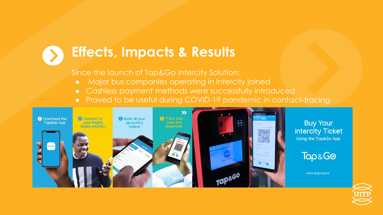#### **Effects, Impacts & Results**

Since the launch of Tap&Go Intercity Solution:

- Major bus companies operating in Intercity joined
- Cashless payment methods were successfully introduced
- Proved to be useful during COVID-19 pandemic in contact-tracing